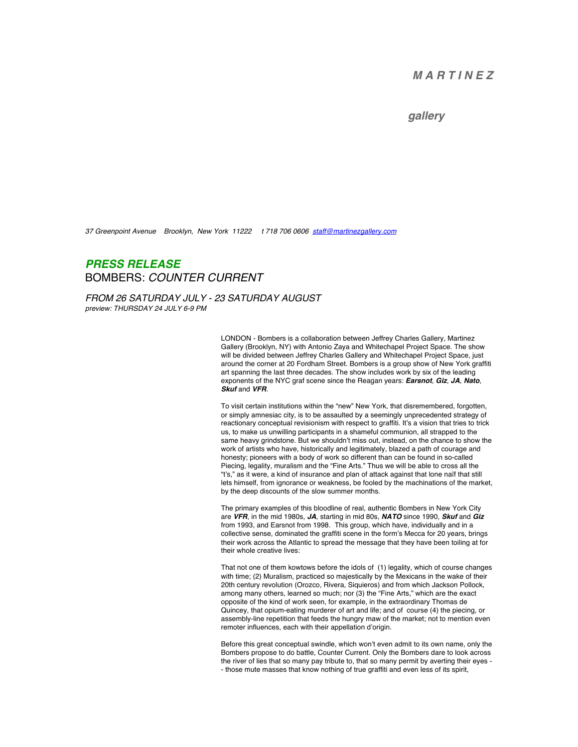## *M A R T I N E Z*

## *gallery*

*37 Greenpoint Avenue Brooklyn, New York 11222 t 718 706 0606 staff@martinezgallery.com*

## *PRESS RELEASE* BOMBERS: *COUNTER CURRENT*

*FROM 26 SATURDAY JULY - 23 SATURDAY AUGUST preview: THURSDAY 24 JULY 6-9 PM*

> LONDON - Bombers is a collaboration between Jeffrey Charles Gallery, Martinez Gallery (Brooklyn, NY) with Antonio Zaya and Whitechapel Project Space. The show will be divided between Jeffrey Charles Gallery and Whitechapel Project Space, just around the corner at 20 Fordham Street. Bombers is a group show of New York graffiti art spanning the last three decades. The show includes work by six of the leading exponents of the NYC graf scene since the Reagan years: *Earsnot*, *Giz*, *JA*, *Nato*, *Skuf* and *VFR*.

> To visit certain institutions within the "new" New York, that disremembered, forgotten, or simply amnesiac city, is to be assaulted by a seemingly unprecedented strategy of reactionary conceptual revisionism with respect to graffiti. It's a vision that tries to trick us, to make us unwilling participants in a shameful communion, all strapped to the same heavy grindstone. But we shouldn't miss out, instead, on the chance to show the work of artists who have, historically and legitimately, blazed a path of courage and honesty; pioneers with a body of work so different than can be found in so-called Piecing, legality, muralism and the "Fine Arts." Thus we will be able to cross all the "t's," as it were, a kind of insurance and plan of attack against that lone naïf that still lets himself, from ignorance or weakness, be fooled by the machinations of the market, by the deep discounts of the slow summer months.

The primary examples of this bloodline of real, authentic Bombers in New York City are *VFR*, in the mid 1980s, *JA*, starting in mid 80s, *NATO* since 1990, *Skuf* and *Giz*  from 1993, and Earsnot from 1998. This group, which have, individually and in a collective sense, dominated the graffiti scene in the form's Mecca for 20 years, brings their work across the Atlantic to spread the message that they have been toiling at for their whole creative lives:

That not one of them kowtows before the idols of (1) legality, which of course changes with time; (2) Muralism, practiced so majestically by the Mexicans in the wake of their 20th century revolution (Orozco, Rivera, Siquieros) and from which Jackson Pollock, among many others, learned so much; nor (3) the "Fine Arts," which are the exact opposite of the kind of work seen, for example, in the extraordinary Thomas de Quincey, that opium-eating murderer of art and life; and of course (4) the piecing, or assembly-line repetition that feeds the hungry maw of the market; not to mention even remoter influences, each with their appellation d'origin.

Before this great conceptual swindle, which won't even admit to its own name, only the Bombers propose to do battle, Counter Current. Only the Bombers dare to look across the river of lies that so many pay tribute to, that so many permit by averting their eyes - - those mute masses that know nothing of true graffiti and even less of its spirit,